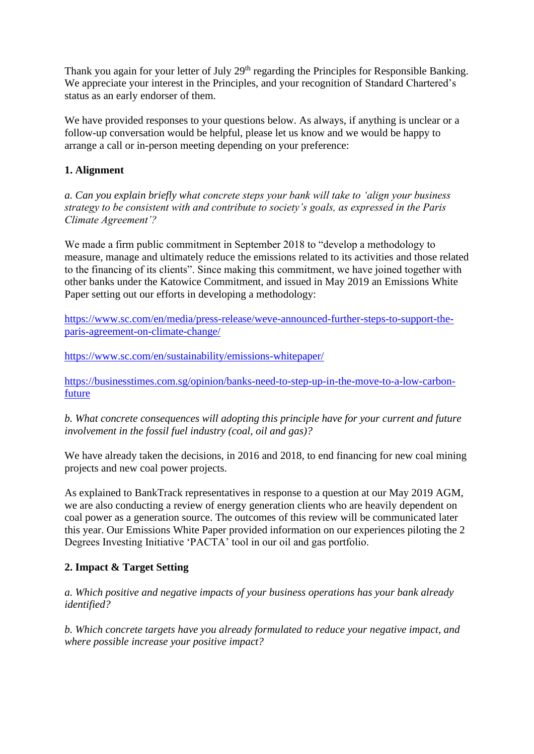Thank you again for your letter of July 29<sup>th</sup> regarding the Principles for Responsible Banking. We appreciate your interest in the Principles, and your recognition of Standard Chartered's status as an early endorser of them.

We have provided responses to your questions below. As always, if anything is unclear or a follow-up conversation would be helpful, please let us know and we would be happy to arrange a call or in-person meeting depending on your preference:

## **1. Alignment**

*a. Can you explain briefly what concrete steps your bank will take to 'align your business strategy to be consistent with and contribute to society's goals, as expressed in the Paris Climate Agreement'?*

We made a firm public commitment in September 2018 to "develop a methodology to measure, manage and ultimately reduce the emissions related to its activities and those related to the financing of its clients". Since making this commitment, we have joined together with other banks under the Katowice Commitment, and issued in May 2019 an Emissions White Paper setting out our efforts in developing a methodology:

[https://www.sc.com/en/media/press-release/weve-announced-further-steps-to-support-the](https://www.sc.com/en/media/press-release/weve-announced-further-steps-to-support-the-paris-agreement-on-climate-change/)[paris-agreement-on-climate-change/](https://www.sc.com/en/media/press-release/weve-announced-further-steps-to-support-the-paris-agreement-on-climate-change/)

<https://www.sc.com/en/sustainability/emissions-whitepaper/>

[https://businesstimes.com.sg/opinion/banks-need-to-step-up-in-the-move-to-a-low-carbon](https://www.businesstimes.com.sg/opinion/banks-need-to-step-up-in-the-move-to-a-low-carbon-future)[future](https://www.businesstimes.com.sg/opinion/banks-need-to-step-up-in-the-move-to-a-low-carbon-future)

*b. What concrete consequences will adopting this principle have for your current and future involvement in the fossil fuel industry (coal, oil and gas)?*

We have already taken the decisions, in 2016 and 2018, to end financing for new coal mining projects and new coal power projects.

As explained to BankTrack representatives in response to a question at our May 2019 AGM, we are also conducting a review of energy generation clients who are heavily dependent on coal power as a generation source. The outcomes of this review will be communicated later this year. Our Emissions White Paper provided information on our experiences piloting the 2 Degrees Investing Initiative 'PACTA' tool in our oil and gas portfolio.

## **2. Impact & Target Setting**

*a. Which positive and negative impacts of your business operations has your bank already identified?*

*b. Which concrete targets have you already formulated to reduce your negative impact, and where possible increase your positive impact?*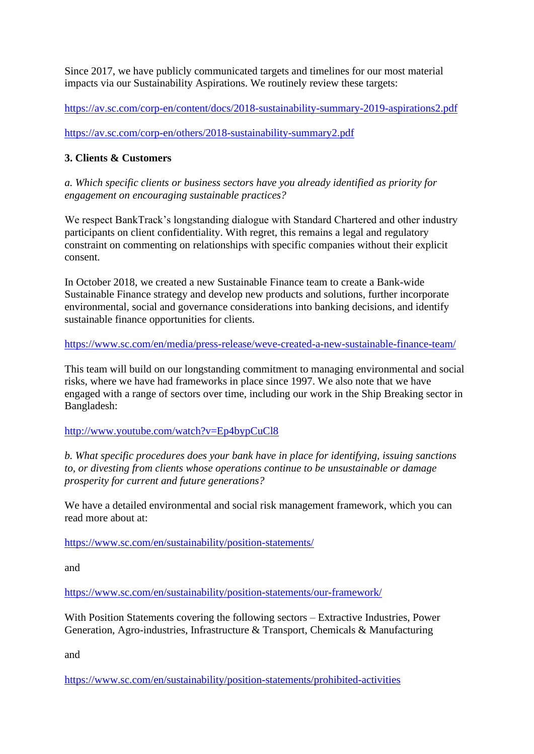Since 2017, we have publicly communicated targets and timelines for our most material impacts via our Sustainability Aspirations. We routinely review these targets:

<https://av.sc.com/corp-en/content/docs/2018-sustainability-summary-2019-aspirations2.pdf>

<https://av.sc.com/corp-en/others/2018-sustainability-summary2.pdf>

# **3. Clients & Customers**

*a. Which specific clients or business sectors have you already identified as priority for engagement on encouraging sustainable practices?*

We respect BankTrack's longstanding dialogue with Standard Chartered and other industry participants on client confidentiality. With regret, this remains a legal and regulatory constraint on commenting on relationships with specific companies without their explicit consent.

In October 2018, we created a new Sustainable Finance team to create a Bank-wide Sustainable Finance strategy and develop new products and solutions, further incorporate environmental, social and governance considerations into banking decisions, and identify sustainable finance opportunities for clients.

<https://www.sc.com/en/media/press-release/weve-created-a-new-sustainable-finance-team/>

This team will build on our longstanding commitment to managing environmental and social risks, where we have had frameworks in place since 1997. We also note that we have engaged with a range of sectors over time, including our work in the Ship Breaking sector in Bangladesh:

<http://www.youtube.com/watch?v=Ep4bypCuCl8>

*b. What specific procedures does your bank have in place for identifying, issuing sanctions to, or divesting from clients whose operations continue to be unsustainable or damage prosperity for current and future generations?*

We have a detailed environmental and social risk management framework, which you can read more about at:

<https://www.sc.com/en/sustainability/position-statements/>

and

<https://www.sc.com/en/sustainability/position-statements/our-framework/>

With Position Statements covering the following sectors – Extractive Industries, Power Generation, Agro-industries, Infrastructure & Transport, Chemicals & Manufacturing

and

<https://www.sc.com/en/sustainability/position-statements/prohibited-activities>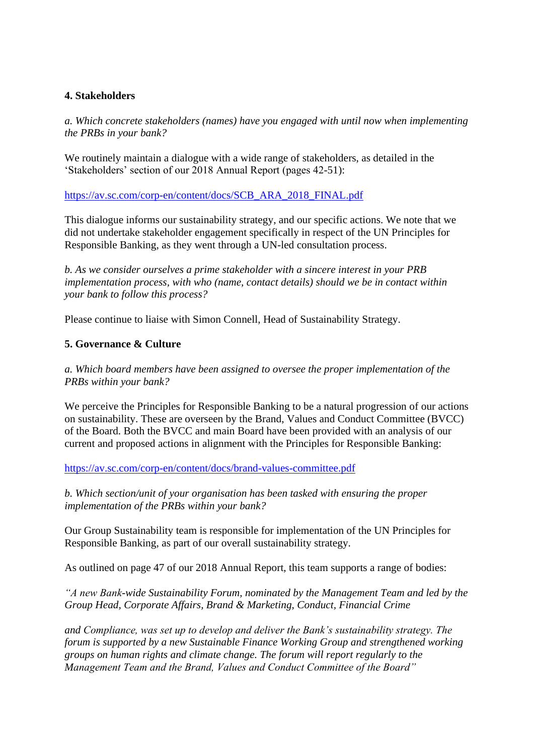### **4. Stakeholders**

*a. Which concrete stakeholders (names) have you engaged with until now when implementing the PRBs in your bank?*

We routinely maintain a dialogue with a wide range of stakeholders, as detailed in the 'Stakeholders' section of our 2018 Annual Report (pages 42-51):

[https://av.sc.com/corp-en/content/docs/SCB\\_ARA\\_2018\\_FINAL.pdf](https://av.sc.com/corp-en/content/docs/SCB_ARA_2018_FINAL.pdf)

This dialogue informs our sustainability strategy, and our specific actions. We note that we did not undertake stakeholder engagement specifically in respect of the UN Principles for Responsible Banking, as they went through a UN-led consultation process.

*b. As we consider ourselves a prime stakeholder with a sincere interest in your PRB implementation process, with who (name, contact details) should we be in contact within your bank to follow this process?*

Please continue to liaise with Simon Connell, Head of Sustainability Strategy.

#### **5. Governance & Culture**

*a. Which board members have been assigned to oversee the proper implementation of the PRBs within your bank?*

We perceive the Principles for Responsible Banking to be a natural progression of our actions on sustainability. These are overseen by the Brand, Values and Conduct Committee (BVCC) of the Board. Both the BVCC and main Board have been provided with an analysis of our current and proposed actions in alignment with the Principles for Responsible Banking:

<https://av.sc.com/corp-en/content/docs/brand-values-committee.pdf>

*b. Which section/unit of your organisation has been tasked with ensuring the proper implementation of the PRBs within your bank?*

Our Group Sustainability team is responsible for implementation of the UN Principles for Responsible Banking, as part of our overall sustainability strategy.

As outlined on page 47 of our 2018 Annual Report, this team supports a range of bodies:

*"A new Bank-wide Sustainability Forum, nominated by the Management Team and led by the Group Head, Corporate Affairs, Brand & Marketing, Conduct, Financial Crime*

*and Compliance, was set up to develop and deliver the Bank's sustainability strategy. The forum is supported by a new Sustainable Finance Working Group and strengthened working groups on human rights and climate change. The forum will report regularly to the Management Team and the Brand, Values and Conduct Committee of the Board"*